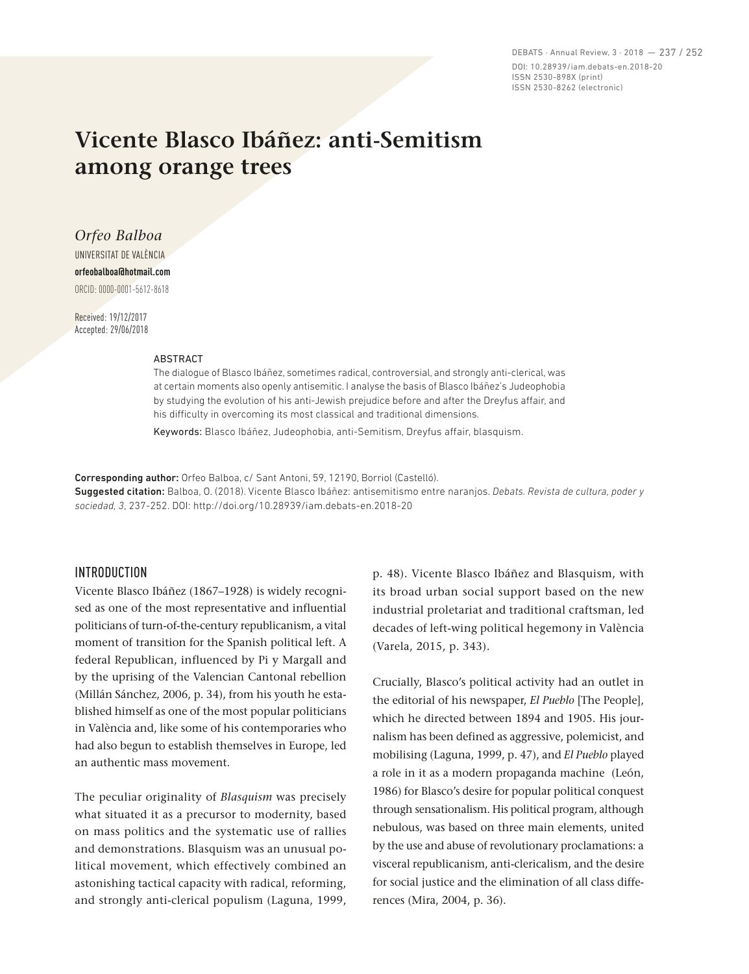DEBATS · Annual Review, 3 · 2018 — 237 / 252 DOI: 10.28939/iam.debats-en.2018-20 ISSN 2530-898X (print) ISSN 2530-8262 (electronic)

# **Vicente Blasco Ibáñez: anti-Semitism among orange trees**

*Orfeo Balboa*  UNIVERSITAT DE VALÈNCIA **orfeobalboa@hotmail.com** ORCID: 0000-0001-5612-8618

Received: 19/12/2017 Accepted: 29/06/2018

#### ABSTRACT

The dialogue of Blasco Ibáñez, sometimes radical, controversial, and strongly anti-clerical, was at certain moments also openly antisemitic. I analyse the basis of Blasco Ibáñez's Judeophobia by studying the evolution of his anti-Jewish prejudice before and after the Dreyfus affair, and his difficulty in overcoming its most classical and traditional dimensions.

Keywords: Blasco Ibáñez, Judeophobia, anti-Semitism, Dreyfus affair, blasquism.

Corresponding author: Orfeo Balboa, c/ Sant Antoni, 59, 12190, Borriol (Castelló).

Suggested citation: Balboa, O. (2018). Vicente Blasco Ibáñez: antisemitismo entre naranjos. *Debats. Revista de cultura, poder y sociedad, 3*, 237-252. DOI: http://doi.org/10.28939/iam.debats-en.2018-20

#### INTRODUCTION

Vicente Blasco Ibáñez (1867–1928) is widely recognised as one of the most representative and influential politicians of turn-of-the-century republicanism, a vital moment of transition for the Spanish political left. A federal Republican, influenced by Pi y Margall and by the uprising of the Valencian Cantonal rebellion (Millán Sánchez, 2006, p. 34), from his youth he established himself as one of the most popular politicians in València and, like some of his contemporaries who had also begun to establish themselves in Europe, led an authentic mass movement.

The peculiar originality of *Blasquism* was precisely what situated it as a precursor to modernity, based on mass politics and the systematic use of rallies and demonstrations. Blasquism was an unusual political movement, which effectively combined an astonishing tactical capacity with radical, reforming, and strongly anti-clerical populism (Laguna, 1999, p. 48). Vicente Blasco Ibáñez and Blasquism, with its broad urban social support based on the new industrial proletariat and traditional craftsman, led decades of left-wing political hegemony in València (Varela, 2015, p. 343).

Crucially, Blasco's political activity had an outlet in the editorial of his newspaper, *El Pueblo* [The People], which he directed between 1894 and 1905. His journalism has been defined as aggressive, polemicist, and mobilising (Laguna, 1999, p. 47), and *El Pueblo* played a role in it as a modern propaganda machine (León, 1986) for Blasco's desire for popular political conquest through sensationalism. His political program, although nebulous, was based on three main elements, united by the use and abuse of revolutionary proclamations: a visceral republicanism, anti-clericalism, and the desire for social justice and the elimination of all class differences (Mira, 2004, p. 36).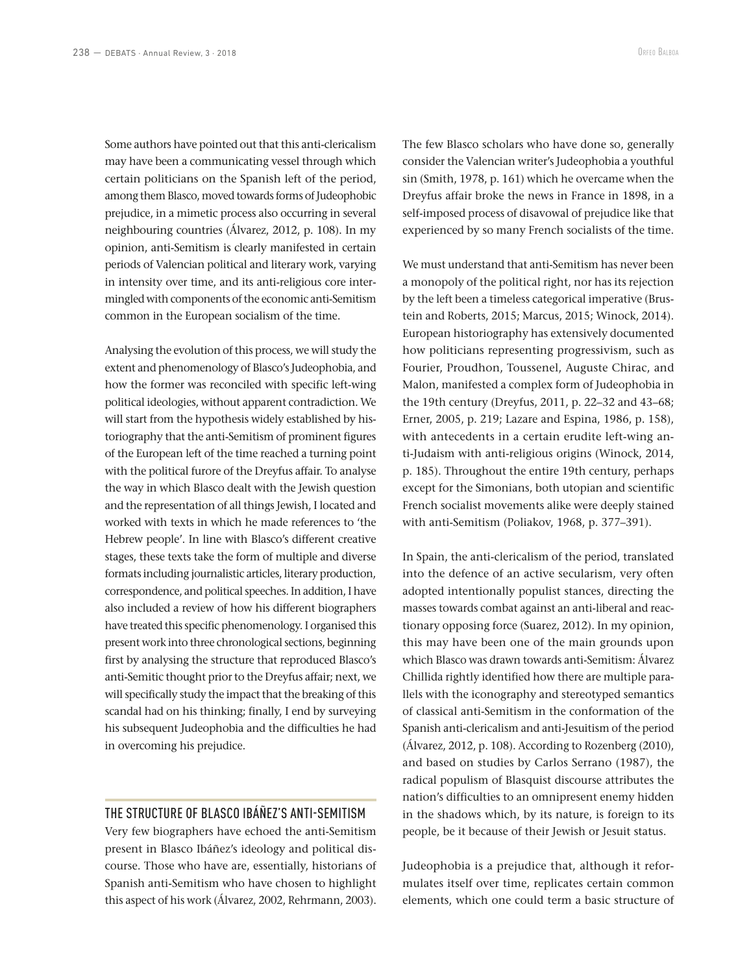Some authors have pointed out that this anti-clericalism may have been a communicating vessel through which certain politicians on the Spanish left of the period, among them Blasco, moved towards forms of Judeophobic prejudice, in a mimetic process also occurring in several neighbouring countries (Álvarez, 2012, p. 108). In my opinion, anti-Semitism is clearly manifested in certain periods of Valencian political and literary work, varying in intensity over time, and its anti-religious core intermingled with components of the economic anti-Semitism common in the European socialism of the time.

Analysing the evolution of this process, we will study the extent and phenomenology of Blasco's Judeophobia, and how the former was reconciled with specific left-wing political ideologies, without apparent contradiction. We will start from the hypothesis widely established by historiography that the anti-Semitism of prominent figures of the European left of the time reached a turning point with the political furore of the Dreyfus affair. To analyse the way in which Blasco dealt with the Jewish question and the representation of all things Jewish, I located and worked with texts in which he made references to 'the Hebrew people'. In line with Blasco's different creative stages, these texts take the form of multiple and diverse formats including journalistic articles, literary production, correspondence, and political speeches. In addition, I have also included a review of how his different biographers have treated this specific phenomenology. I organised this present work into three chronological sections, beginning first by analysing the structure that reproduced Blasco's anti-Semitic thought prior to the Dreyfus affair; next, we will specifically study the impact that the breaking of this scandal had on his thinking; finally, I end by surveying his subsequent Judeophobia and the difficulties he had in overcoming his prejudice.

### THE STRUCTURE OF BLASCO IBÁÑEZ'S ANTI-SEMITISM

Very few biographers have echoed the anti-Semitism present in Blasco Ibáñez's ideology and political discourse. Those who have are, essentially, historians of Spanish anti-Semitism who have chosen to highlight this aspect of his work (Álvarez, 2002, Rehrmann, 2003).

The few Blasco scholars who have done so, generally consider the Valencian writer's Judeophobia a youthful sin (Smith, 1978, p. 161) which he overcame when the Dreyfus affair broke the news in France in 1898, in a self-imposed process of disavowal of prejudice like that experienced by so many French socialists of the time.

We must understand that anti-Semitism has never been a monopoly of the political right, nor has its rejection by the left been a timeless categorical imperative (Brustein and Roberts, 2015; Marcus, 2015; Winock, 2014). European historiography has extensively documented how politicians representing progressivism, such as Fourier, Proudhon, Toussenel, Auguste Chirac, and Malon, manifested a complex form of Judeophobia in the 19th century (Dreyfus, 2011, p. 22–32 and 43–68; Erner, 2005, p. 219; Lazare and Espina, 1986, p. 158), with antecedents in a certain erudite left-wing anti-Judaism with anti-religious origins (Winock, 2014, p. 185). Throughout the entire 19th century, perhaps except for the Simonians, both utopian and scientific French socialist movements alike were deeply stained with anti-Semitism (Poliakov, 1968, p. 377–391).

In Spain, the anti-clericalism of the period, translated into the defence of an active secularism, very often adopted intentionally populist stances, directing the masses towards combat against an anti-liberal and reactionary opposing force (Suarez, 2012). In my opinion, this may have been one of the main grounds upon which Blasco was drawn towards anti-Semitism: Álvarez Chillida rightly identified how there are multiple parallels with the iconography and stereotyped semantics of classical anti-Semitism in the conformation of the Spanish anti-clericalism and anti-Jesuitism of the period (Álvarez, 2012, p. 108). According to Rozenberg (2010), and based on studies by Carlos Serrano (1987), the radical populism of Blasquist discourse attributes the nation's difficulties to an omnipresent enemy hidden in the shadows which, by its nature, is foreign to its people, be it because of their Jewish or Jesuit status.

Judeophobia is a prejudice that, although it reformulates itself over time, replicates certain common elements, which one could term a basic structure of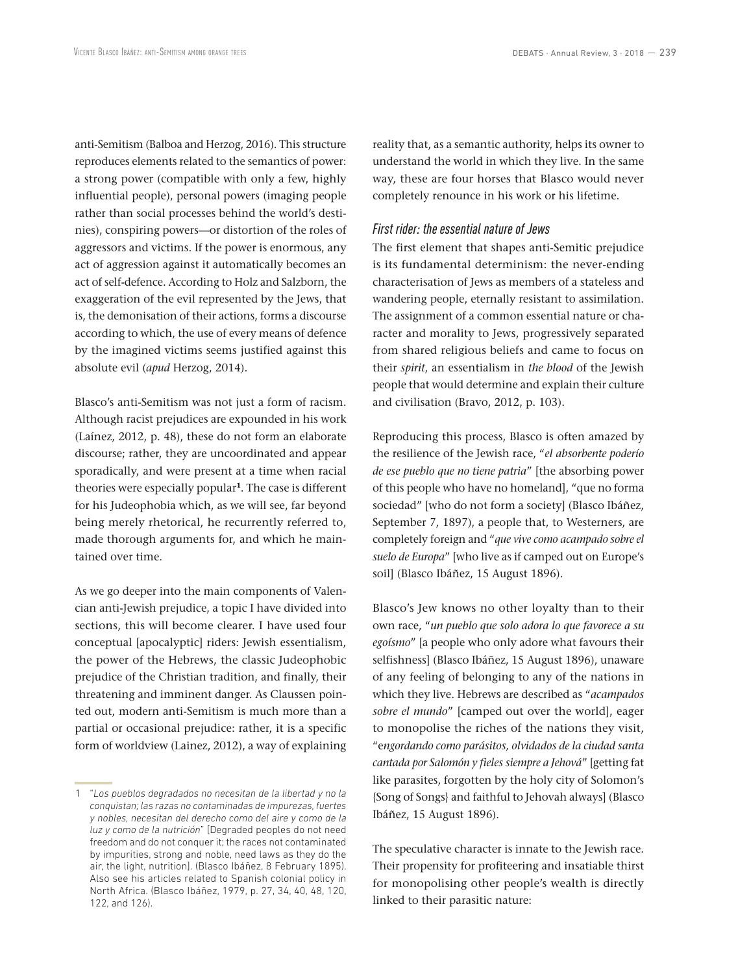anti-Semitism (Balboa and Herzog, 2016). This structure reproduces elements related to the semantics of power: a strong power (compatible with only a few, highly influential people), personal powers (imaging people rather than social processes behind the world's destinies), conspiring powers—or distortion of the roles of aggressors and victims. If the power is enormous, any act of aggression against it automatically becomes an act of self-defence. According to Holz and Salzborn, the exaggeration of the evil represented by the Jews, that is, the demonisation of their actions, forms a discourse according to which, the use of every means of defence by the imagined victims seems justified against this absolute evil (*apud* Herzog, 2014).

Blasco's anti-Semitism was not just a form of racism. Although racist prejudices are expounded in his work (Laínez, 2012, p. 48), these do not form an elaborate discourse; rather, they are uncoordinated and appear sporadically, and were present at a time when racial theories were especially popular**<sup>1</sup>**. The case is different for his Judeophobia which, as we will see, far beyond being merely rhetorical, he recurrently referred to, made thorough arguments for, and which he maintained over time.

As we go deeper into the main components of Valencian anti-Jewish prejudice, a topic I have divided into sections, this will become clearer. I have used four conceptual [apocalyptic] riders: Jewish essentialism, the power of the Hebrews, the classic Judeophobic prejudice of the Christian tradition, and finally, their threatening and imminent danger. As Claussen pointed out, modern anti-Semitism is much more than a partial or occasional prejudice: rather, it is a specific form of worldview (Lainez, 2012), a way of explaining reality that, as a semantic authority, helps its owner to understand the world in which they live. In the same way, these are four horses that Blasco would never completely renounce in his work or his lifetime.

#### *First rider: the essential nature of Jews*

The first element that shapes anti-Semitic prejudice is its fundamental determinism: the never-ending characterisation of Jews as members of a stateless and wandering people, eternally resistant to assimilation. The assignment of a common essential nature or character and morality to Jews, progressively separated from shared religious beliefs and came to focus on their *spirit*, an essentialism in *the blood* of the Jewish people that would determine and explain their culture and civilisation (Bravo, 2012, p. 103).

Reproducing this process, Blasco is often amazed by the resilience of the Jewish race, "*el absorbente poderío de ese pueblo que no tiene patria*" [the absorbing power of this people who have no homeland], "que no forma sociedad" [who do not form a society] (Blasco Ibáñez, September 7, 1897), a people that, to Westerners, are completely foreign and "*que vive como acampado sobre el suelo de Europa*" [who live as if camped out on Europe's soil] (Blasco Ibáñez, 15 August 1896).

Blasco's Jew knows no other loyalty than to their own race, "*un pueblo que solo adora lo que favorece a su egoísmo*" [a people who only adore what favours their selfishness] (Blasco Ibáñez, 15 August 1896), unaware of any feeling of belonging to any of the nations in which they live. Hebrews are described as "*acampados sobre el mundo*" [camped out over the world], eager to monopolise the riches of the nations they visit, "e*ngordando como parásitos, olvidados de la ciudad santa cantada por Salomón y fieles siempre a Jehová*" [getting fat like parasites, forgotten by the holy city of Solomon's {Song of Songs} and faithful to Jehovah always] (Blasco Ibáñez, 15 August 1896).

The speculative character is innate to the Jewish race. Their propensity for profiteering and insatiable thirst for monopolising other people's wealth is directly linked to their parasitic nature:

<sup>1</sup> "*Los pueblos degradados no necesitan de la libertad y no la conquistan; las razas no contaminadas de impurezas, fuertes y nobles, necesitan del derecho como del aire y como de la luz y como de la nutrición*" [Degraded peoples do not need freedom and do not conquer it; the races not contaminated by impurities, strong and noble, need laws as they do the air, the light, nutrition]. (Blasco Ibáñez, 8 February 1895). Also see his articles related to Spanish colonial policy in North Africa. (Blasco Ibáñez, 1979, p. 27, 34, 40, 48, 120, 122, and 126).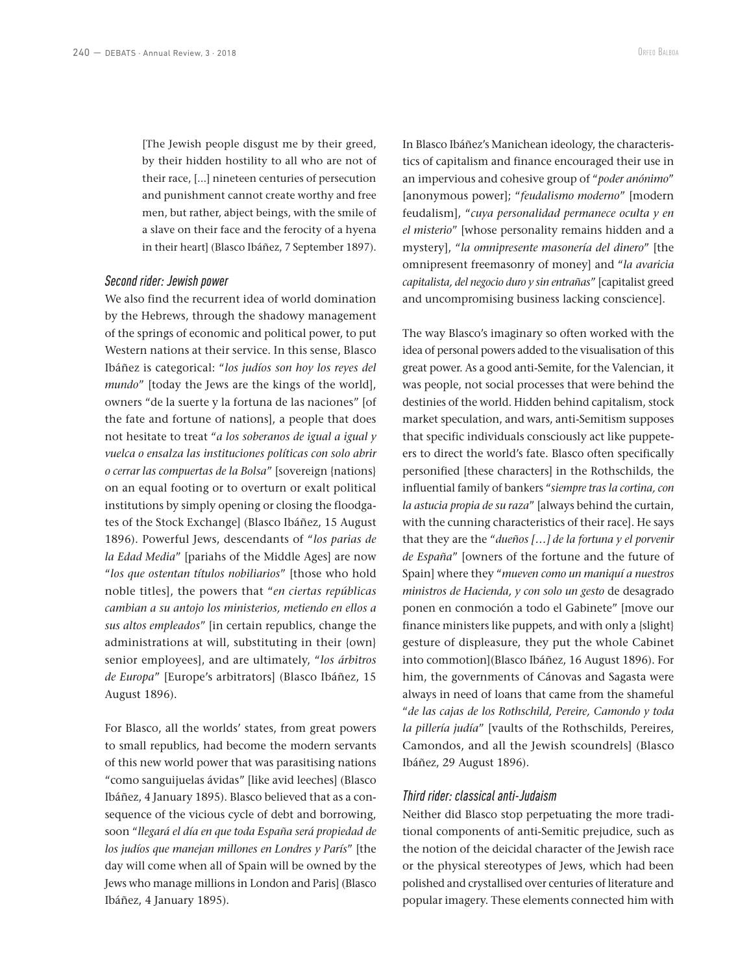[The Jewish people disgust me by their greed, by their hidden hostility to all who are not of their race, [...] nineteen centuries of persecution and punishment cannot create worthy and free men, but rather, abject beings, with the smile of a slave on their face and the ferocity of a hyena in their heart] (Blasco Ibáñez, 7 September 1897).

#### *Second rider: Jewish power*

We also find the recurrent idea of world domination by the Hebrews, through the shadowy management of the springs of economic and political power, to put Western nations at their service. In this sense, Blasco Ibáñez is categorical: "*los judíos son hoy los reyes del mundo*" [today the Jews are the kings of the world], owners "de la suerte y la fortuna de las naciones" [of the fate and fortune of nations], a people that does not hesitate to treat "*a los soberanos de igual a igual y vuelca o ensalza las instituciones políticas con solo abrir o cerrar las compuertas de la Bolsa*" [sovereign {nations} on an equal footing or to overturn or exalt political institutions by simply opening or closing the floodgates of the Stock Exchange] (Blasco Ibáñez, 15 August 1896). Powerful Jews, descendants of "*los parias de la Edad Media*" [pariahs of the Middle Ages] are now "*los que ostentan títulos nobiliarios*" [those who hold noble titles], the powers that "*en ciertas repúblicas cambian a su antojo los ministerios, metiendo en ellos a sus altos empleados*" [in certain republics, change the administrations at will, substituting in their {own} senior employees], and are ultimately, "*los árbitros de Europa*" [Europe's arbitrators] (Blasco Ibáñez, 15 August 1896).

For Blasco, all the worlds' states, from great powers to small republics, had become the modern servants of this new world power that was parasitising nations "como sanguijuelas ávidas" [like avid leeches] (Blasco Ibáñez, 4 January 1895). Blasco believed that as a consequence of the vicious cycle of debt and borrowing, soon "*llegará el día en que toda España será propiedad de los judíos que manejan millones en Londres y París*" [the day will come when all of Spain will be owned by the Jews who manage millions in London and Paris] (Blasco Ibáñez, 4 January 1895).

In Blasco Ibáñez's Manichean ideology, the characteristics of capitalism and finance encouraged their use in an impervious and cohesive group of "*poder anónimo*" [anonymous power]; "*feudalismo moderno*" [modern feudalism], "*cuya personalidad permanece oculta y en el misterio*" [whose personality remains hidden and a mystery], "*la omnipresente masonería del dinero*" [the omnipresent freemasonry of money] and "*la avaricia capitalista, del negocio duro y sin entrañas*" [capitalist greed and uncompromising business lacking conscience].

The way Blasco's imaginary so often worked with the idea of personal powers added to the visualisation of this great power. As a good anti-Semite, for the Valencian, it was people, not social processes that were behind the destinies of the world. Hidden behind capitalism, stock market speculation, and wars, anti-Semitism supposes that specific individuals consciously act like puppeteers to direct the world's fate. Blasco often specifically personified [these characters] in the Rothschilds, the influential family of bankers "*siempre tras la cortina, con la astucia propia de su raza*" [always behind the curtain, with the cunning characteristics of their race]. He says that they are the "*dueños […] de la fortuna y el porvenir de España*" [owners of the fortune and the future of Spain] where they "*mueven como un maniquí a nuestros ministros de Hacienda, y con solo un gesto* de desagrado ponen en conmoción a todo el Gabinete" [move our finance ministers like puppets, and with only a {slight} gesture of displeasure, they put the whole Cabinet into commotion](Blasco Ibáñez, 16 August 1896). For him, the governments of Cánovas and Sagasta were always in need of loans that came from the shameful "*de las cajas de los Rothschild, Pereire, Camondo y toda la pillería judía*" [vaults of the Rothschilds, Pereires, Camondos, and all the Jewish scoundrels] (Blasco Ibáñez, 29 August 1896).

#### *Third rider: classical anti-Judaism*

Neither did Blasco stop perpetuating the more traditional components of anti-Semitic prejudice, such as the notion of the deicidal character of the Jewish race or the physical stereotypes of Jews, which had been polished and crystallised over centuries of literature and popular imagery. These elements connected him with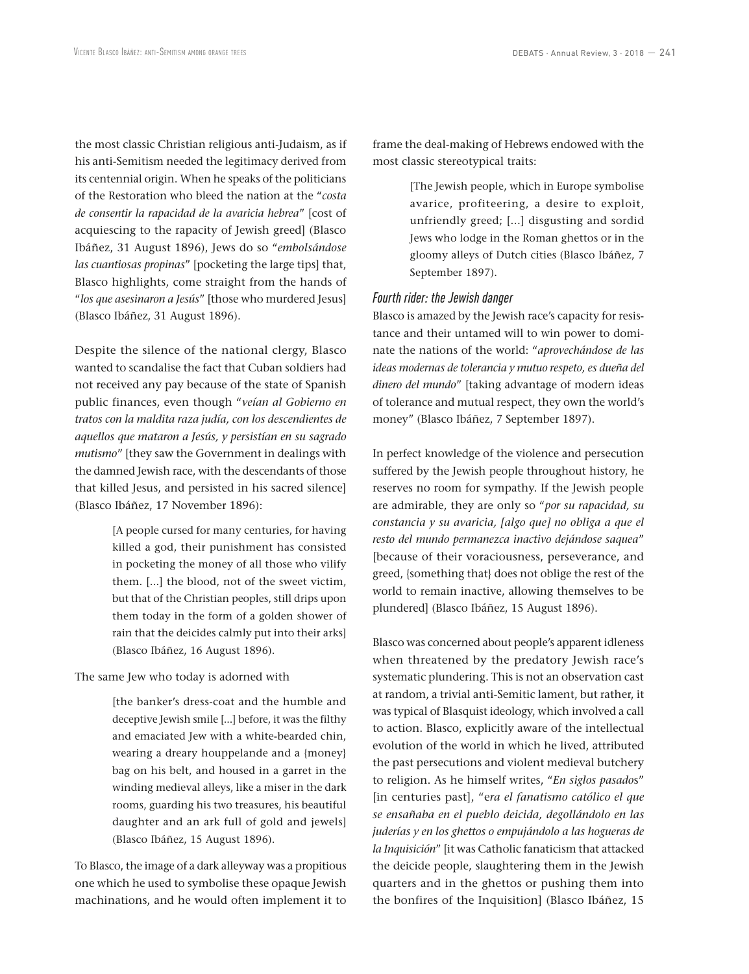the most classic Christian religious anti-Judaism, as if his anti-Semitism needed the legitimacy derived from its centennial origin. When he speaks of the politicians of the Restoration who bleed the nation at the "*costa de consentir la rapacidad de la avaricia hebrea*" [cost of acquiescing to the rapacity of Jewish greed] (Blasco Ibáñez, 31 August 1896), Jews do so "*embolsándose las cuantiosas propinas*" [pocketing the large tips] that, Blasco highlights, come straight from the hands of "*los que asesinaron a Jesús*" [those who murdered Jesus] (Blasco Ibáñez, 31 August 1896).

Despite the silence of the national clergy, Blasco wanted to scandalise the fact that Cuban soldiers had not received any pay because of the state of Spanish public finances, even though "*veían al Gobierno en tratos con la maldita raza judía, con los descendientes de aquellos que mataron a Jesús, y persistían en su sagrado mutismo*" [they saw the Government in dealings with the damned Jewish race, with the descendants of those that killed Jesus, and persisted in his sacred silence] (Blasco Ibáñez, 17 November 1896):

> [A people cursed for many centuries, for having killed a god, their punishment has consisted in pocketing the money of all those who vilify them. [...] the blood, not of the sweet victim, but that of the Christian peoples, still drips upon them today in the form of a golden shower of rain that the deicides calmly put into their arks] (Blasco Ibáñez, 16 August 1896).

The same Jew who today is adorned with

[the banker's dress-coat and the humble and deceptive Jewish smile [...] before, it was the filthy and emaciated Jew with a white-bearded chin, wearing a dreary houppelande and a {money} bag on his belt, and housed in a garret in the winding medieval alleys, like a miser in the dark rooms, guarding his two treasures, his beautiful daughter and an ark full of gold and jewels] (Blasco Ibáñez, 15 August 1896).

To Blasco, the image of a dark alleyway was a propitious one which he used to symbolise these opaque Jewish machinations, and he would often implement it to frame the deal-making of Hebrews endowed with the most classic stereotypical traits:

> [The Jewish people, which in Europe symbolise avarice, profiteering, a desire to exploit, unfriendly greed; [...] disgusting and sordid Jews who lodge in the Roman ghettos or in the gloomy alleys of Dutch cities (Blasco Ibáñez, 7 September 1897).

### *Fourth rider: the Jewish danger*

Blasco is amazed by the Jewish race's capacity for resistance and their untamed will to win power to dominate the nations of the world: "*aprovechándose de las ideas modernas de tolerancia y mutuo respeto, es dueña del dinero del mundo*" [taking advantage of modern ideas of tolerance and mutual respect, they own the world's money" (Blasco Ibáñez, 7 September 1897).

In perfect knowledge of the violence and persecution suffered by the Jewish people throughout history, he reserves no room for sympathy. If the Jewish people are admirable, they are only so "*por su rapacidad, su constancia y su avaricia, [algo que] no obliga a que el resto del mundo permanezca inactivo dejándose saquea*" [because of their voraciousness, perseverance, and greed, {something that} does not oblige the rest of the world to remain inactive, allowing themselves to be plundered] (Blasco Ibáñez, 15 August 1896).

Blasco was concerned about people's apparent idleness when threatened by the predatory Jewish race's systematic plundering. This is not an observation cast at random, a trivial anti-Semitic lament, but rather, it was typical of Blasquist ideology, which involved a call to action. Blasco, explicitly aware of the intellectual evolution of the world in which he lived, attributed the past persecutions and violent medieval butchery to religion. As he himself writes, "*En siglos pasado*s" [in centuries past], "e*ra el fanatismo católico el que se ensañaba en el pueblo deicida, degollándolo en las juderías y en los ghettos o empujándolo a las hogueras de la Inquisición*" [it was Catholic fanaticism that attacked the deicide people, slaughtering them in the Jewish quarters and in the ghettos or pushing them into the bonfires of the Inquisition] (Blasco Ibáñez, 15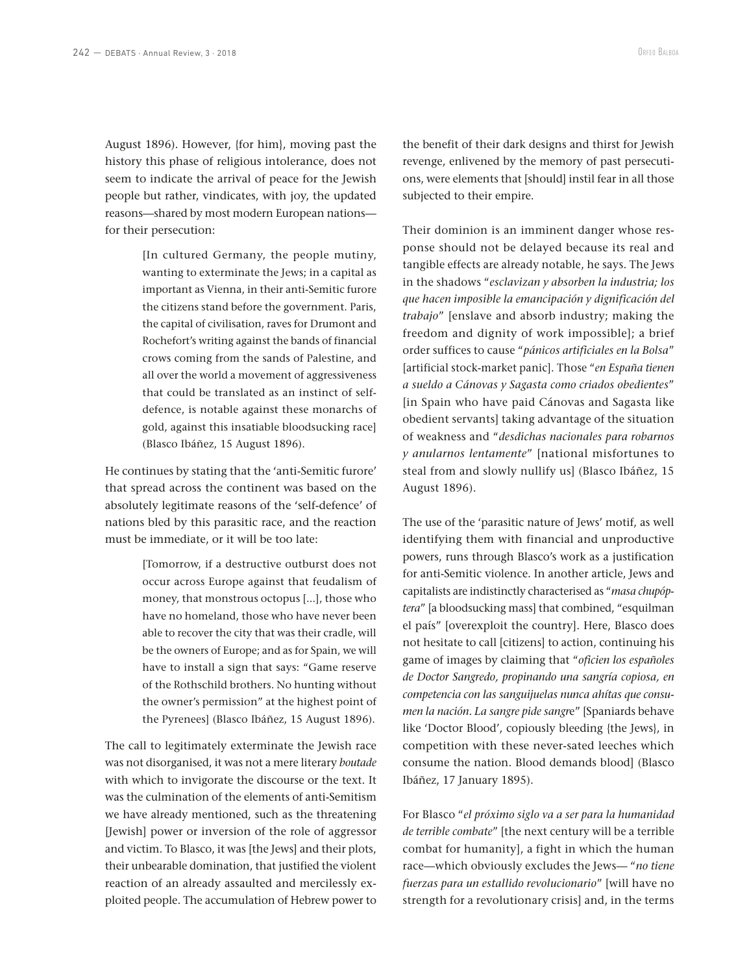August 1896). However, {for him}, moving past the history this phase of religious intolerance, does not seem to indicate the arrival of peace for the Jewish people but rather, vindicates, with joy, the updated reasons—shared by most modern European nations for their persecution:

> [In cultured Germany, the people mutiny, wanting to exterminate the Jews; in a capital as important as Vienna, in their anti-Semitic furore the citizens stand before the government. Paris, the capital of civilisation, raves for Drumont and Rochefort's writing against the bands of financial crows coming from the sands of Palestine, and all over the world a movement of aggressiveness that could be translated as an instinct of selfdefence, is notable against these monarchs of gold, against this insatiable bloodsucking race] (Blasco Ibáñez, 15 August 1896).

He continues by stating that the 'anti-Semitic furore' that spread across the continent was based on the absolutely legitimate reasons of the 'self-defence' of nations bled by this parasitic race, and the reaction must be immediate, or it will be too late:

> [Tomorrow, if a destructive outburst does not occur across Europe against that feudalism of money, that monstrous octopus [...], those who have no homeland, those who have never been able to recover the city that was their cradle, will be the owners of Europe; and as for Spain, we will have to install a sign that says: "Game reserve of the Rothschild brothers. No hunting without the owner's permission" at the highest point of the Pyrenees] (Blasco Ibáñez, 15 August 1896).

The call to legitimately exterminate the Jewish race was not disorganised, it was not a mere literary *boutade* with which to invigorate the discourse or the text. It was the culmination of the elements of anti-Semitism we have already mentioned, such as the threatening [Jewish] power or inversion of the role of aggressor and victim. To Blasco, it was [the Jews] and their plots, their unbearable domination, that justified the violent reaction of an already assaulted and mercilessly exploited people. The accumulation of Hebrew power to

the benefit of their dark designs and thirst for Jewish revenge, enlivened by the memory of past persecutions, were elements that [should] instil fear in all those subjected to their empire.

Their dominion is an imminent danger whose response should not be delayed because its real and tangible effects are already notable, he says. The Jews in the shadows "*esclavizan y absorben la industria; los que hacen imposible la emancipación y dignificación del trabajo*" [enslave and absorb industry; making the freedom and dignity of work impossible]; a brief order suffices to cause "*pánicos artificiales en la Bolsa*" [artificial stock-market panic]. Those "*en España tienen a sueldo a Cánovas y Sagasta como criados obedientes*" [in Spain who have paid Cánovas and Sagasta like obedient servants] taking advantage of the situation of weakness and "*desdichas nacionales para robarnos y anularnos lentamente*" [national misfortunes to steal from and slowly nullify us] (Blasco Ibáñez, 15 August 1896).

The use of the 'parasitic nature of Jews' motif, as well identifying them with financial and unproductive powers, runs through Blasco's work as a justification for anti-Semitic violence. In another article, Jews and capitalists are indistinctly characterised as "*masa chupóptera*" [a bloodsucking mass] that combined, "esquilman el país" [overexploit the country]. Here, Blasco does not hesitate to call [citizens] to action, continuing his game of images by claiming that "*oficien los españoles de Doctor Sangredo, propinando una sangría copiosa, en competencia con las sanguijuelas nunca ahítas que consumen la nación. La sangre pide sangr*e" [Spaniards behave like 'Doctor Blood', copiously bleeding {the Jews}, in competition with these never-sated leeches which consume the nation. Blood demands blood] (Blasco Ibáñez, 17 January 1895).

For Blasco "*el próximo siglo va a ser para la humanidad de terrible combate*" [the next century will be a terrible combat for humanity], a fight in which the human race—which obviously excludes the Jews— "*no tiene fuerzas para un estallido revolucionario*" [will have no strength for a revolutionary crisis] and, in the terms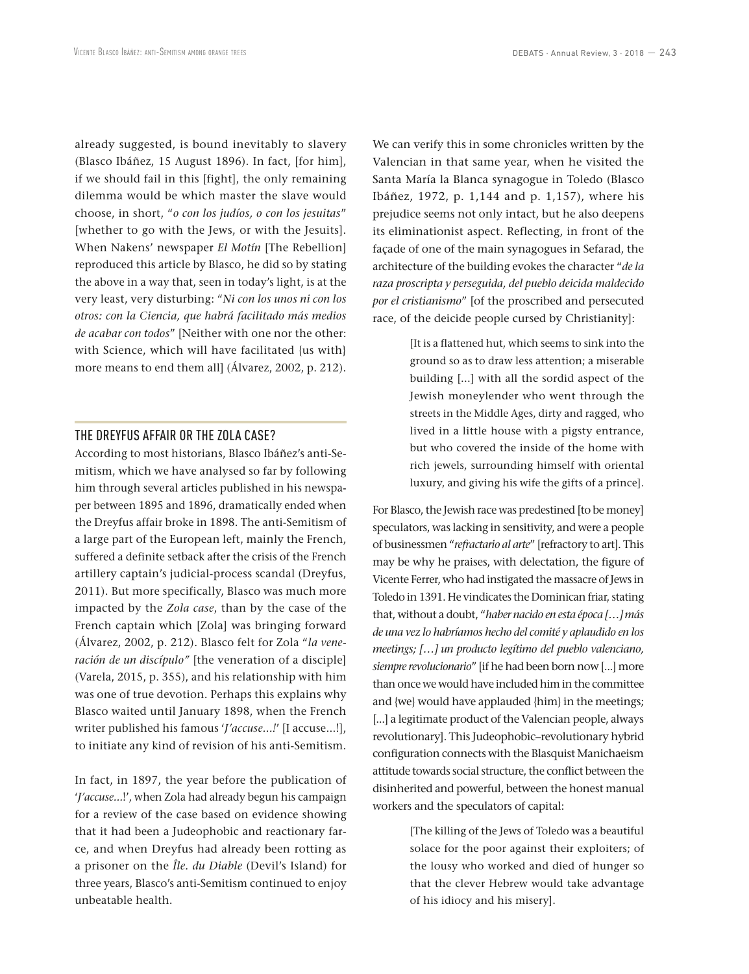already suggested, is bound inevitably to slavery (Blasco Ibáñez, 15 August 1896). In fact, [for him], if we should fail in this [fight], the only remaining dilemma would be which master the slave would choose, in short, "*o con los judíos, o con los jesuitas*" [whether to go with the Jews, or with the Jesuits]. When Nakens' newspaper *El Motín* [The Rebellion] reproduced this article by Blasco, he did so by stating the above in a way that, seen in today's light, is at the very least, very disturbing: "*Ni con los unos ni con los otros: con la Ciencia, que habrá facilitado más medios de acabar con todos*" [Neither with one nor the other: with Science, which will have facilitated {us with} more means to end them all] (Álvarez, 2002, p. 212).

## THE DREYFUS AFFAIR OR THE ZOLA CASE?

According to most historians, Blasco Ibáñez's anti-Semitism, which we have analysed so far by following him through several articles published in his newspaper between 1895 and 1896, dramatically ended when the Dreyfus affair broke in 1898. The anti-Semitism of a large part of the European left, mainly the French, suffered a definite setback after the crisis of the French artillery captain's judicial-process scandal (Dreyfus, 2011). But more specifically, Blasco was much more impacted by the *Zola case*, than by the case of the French captain which [Zola] was bringing forward (Álvarez, 2002, p. 212). Blasco felt for Zola "*la veneración de un discípulo"* [the veneration of a disciple] (Varela, 2015, p. 355), and his relationship with him was one of true devotion. Perhaps this explains why Blasco waited until January 1898, when the French writer published his famous '*J'accuse...!*' [I accuse...!], to initiate any kind of revision of his anti-Semitism.

In fact, in 1897, the year before the publication of '*J'accuse...*!', when Zola had already begun his campaign for a review of the case based on evidence showing that it had been a Judeophobic and reactionary farce, and when Dreyfus had already been rotting as a prisoner on the *Île. du Diable* (Devil's Island) for three years, Blasco's anti-Semitism continued to enjoy unbeatable health.

We can verify this in some chronicles written by the Valencian in that same year, when he visited the Santa María la Blanca synagogue in Toledo (Blasco Ibáñez, 1972, p. 1,144 and p. 1,157), where his prejudice seems not only intact, but he also deepens its eliminationist aspect. Reflecting, in front of the façade of one of the main synagogues in Sefarad, the architecture of the building evokes the character "*de la raza proscripta y perseguida, del pueblo deicida maldecido por el cristianismo*" [of the proscribed and persecuted race, of the deicide people cursed by Christianity]:

> [It is a flattened hut, which seems to sink into the ground so as to draw less attention; a miserable building [...] with all the sordid aspect of the Jewish moneylender who went through the streets in the Middle Ages, dirty and ragged, who lived in a little house with a pigsty entrance, but who covered the inside of the home with rich jewels, surrounding himself with oriental luxury, and giving his wife the gifts of a prince].

For Blasco, the Jewish race was predestined [to be money] speculators, was lacking in sensitivity, and were a people of businessmen "*refractario al arte*" [refractory to art]. This may be why he praises, with delectation, the figure of Vicente Ferrer, who had instigated the massacre of Jews in Toledo in 1391. He vindicates the Dominican friar, stating that, without a doubt, "*haber nacido en esta época […] más de una vez lo habríamos hecho del comité y aplaudido en los meetings; […] un producto legítimo del pueblo valenciano, siempre revolucionario*" [if he had been born now [...] more than once we would have included him in the committee and {we} would have applauded {him} in the meetings; [...] a legitimate product of the Valencian people, always revolutionary]. This Judeophobic–revolutionary hybrid configuration connects with the Blasquist Manichaeism attitude towards social structure, the conflict between the disinherited and powerful, between the honest manual workers and the speculators of capital:

> [The killing of the Jews of Toledo was a beautiful solace for the poor against their exploiters; of the lousy who worked and died of hunger so that the clever Hebrew would take advantage of his idiocy and his misery].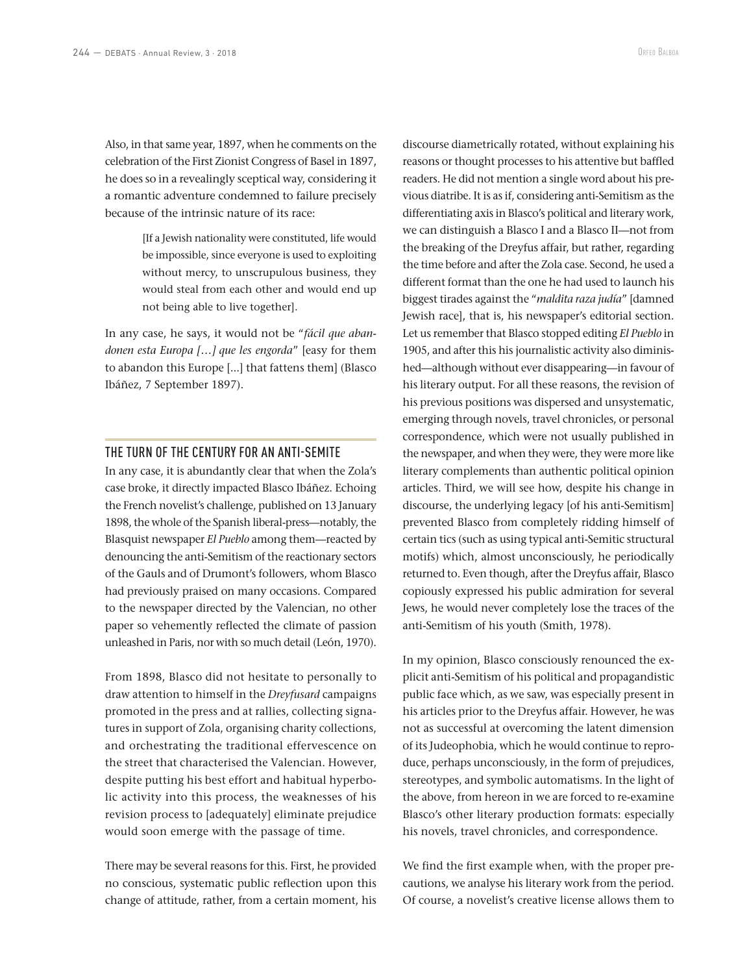Also, in that same year, 1897, when he comments on the celebration of the First Zionist Congress of Basel in 1897, he does so in a revealingly sceptical way, considering it a romantic adventure condemned to failure precisely because of the intrinsic nature of its race:

> [If a Jewish nationality were constituted, life would be impossible, since everyone is used to exploiting without mercy, to unscrupulous business, they would steal from each other and would end up not being able to live together].

In any case, he says, it would not be "*fácil que abandonen esta Europa […] que les engorda*" [easy for them to abandon this Europe [...] that fattens them] (Blasco Ibáñez, 7 September 1897).

#### THE TURN OF THE CENTURY FOR AN ANTI-SEMITE

In any case, it is abundantly clear that when the Zola's case broke, it directly impacted Blasco Ibáñez. Echoing the French novelist's challenge, published on 13 January 1898, the whole of the Spanish liberal-press—notably, the Blasquist newspaper *El Pueblo* among them—reacted by denouncing the anti-Semitism of the reactionary sectors of the Gauls and of Drumont's followers, whom Blasco had previously praised on many occasions. Compared to the newspaper directed by the Valencian, no other paper so vehemently reflected the climate of passion unleashed in Paris, nor with so much detail (León, 1970).

From 1898, Blasco did not hesitate to personally to draw attention to himself in the *Dreyfusard* campaigns promoted in the press and at rallies, collecting signatures in support of Zola, organising charity collections, and orchestrating the traditional effervescence on the street that characterised the Valencian. However, despite putting his best effort and habitual hyperbolic activity into this process, the weaknesses of his revision process to [adequately] eliminate prejudice would soon emerge with the passage of time.

There may be several reasons for this. First, he provided no conscious, systematic public reflection upon this change of attitude, rather, from a certain moment, his

discourse diametrically rotated, without explaining his reasons or thought processes to his attentive but baffled readers. He did not mention a single word about his previous diatribe. It is as if, considering anti-Semitism as the differentiating axis in Blasco's political and literary work, we can distinguish a Blasco I and a Blasco II—not from the breaking of the Dreyfus affair, but rather, regarding the time before and after the Zola case. Second, he used a different format than the one he had used to launch his biggest tirades against the "*maldita raza judía*" [damned Jewish race], that is, his newspaper's editorial section. Let us remember that Blasco stopped editing *El Pueblo* in 1905, and after this his journalistic activity also diminished—although without ever disappearing—in favour of his literary output. For all these reasons, the revision of his previous positions was dispersed and unsystematic, emerging through novels, travel chronicles, or personal correspondence, which were not usually published in the newspaper, and when they were, they were more like literary complements than authentic political opinion articles. Third, we will see how, despite his change in discourse, the underlying legacy [of his anti-Semitism] prevented Blasco from completely ridding himself of certain tics (such as using typical anti-Semitic structural motifs) which, almost unconsciously, he periodically returned to. Even though, after the Dreyfus affair, Blasco copiously expressed his public admiration for several Jews, he would never completely lose the traces of the anti-Semitism of his youth (Smith, 1978).

In my opinion, Blasco consciously renounced the explicit anti-Semitism of his political and propagandistic public face which, as we saw, was especially present in his articles prior to the Dreyfus affair. However, he was not as successful at overcoming the latent dimension of its Judeophobia, which he would continue to reproduce, perhaps unconsciously, in the form of prejudices, stereotypes, and symbolic automatisms. In the light of the above, from hereon in we are forced to re-examine Blasco's other literary production formats: especially his novels, travel chronicles, and correspondence.

We find the first example when, with the proper precautions, we analyse his literary work from the period. Of course, a novelist's creative license allows them to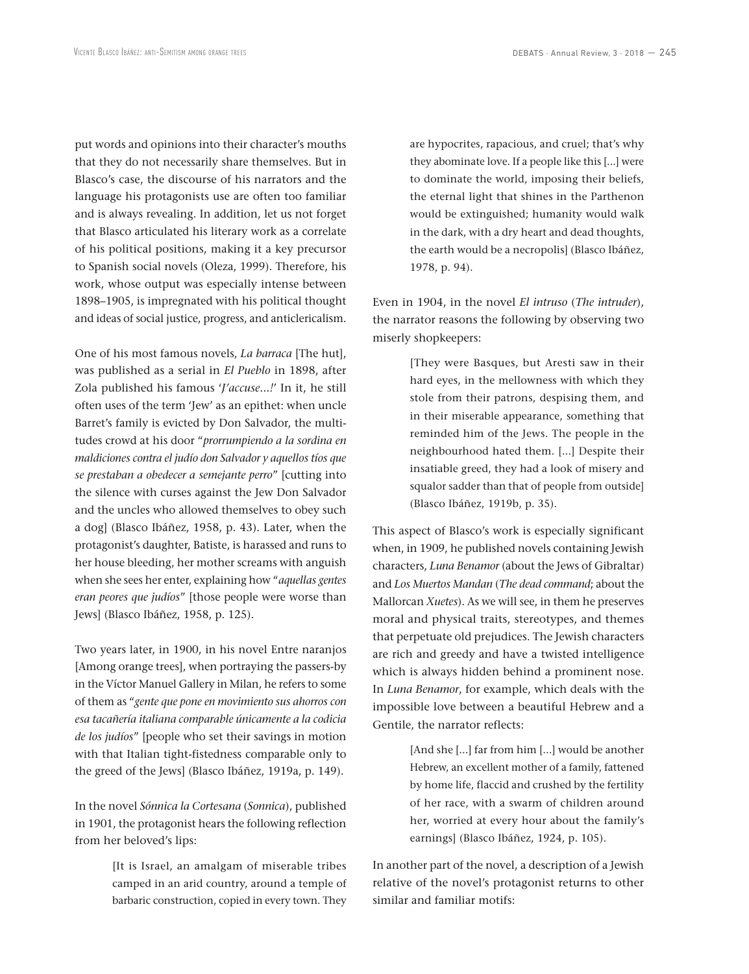put words and opinions into their character's mouths that they do not necessarily share themselves. But in Blasco's case, the discourse of his narrators and the language his protagonists use are often too familiar and is always revealing. In addition, let us not forget that Blasco articulated his literary work as a correlate of his political positions, making it a key precursor to Spanish social novels (Oleza, 1999). Therefore, his work, whose output was especially intense between 1898–1905, is impregnated with his political thought and ideas of social justice, progress, and anticlericalism.

One of his most famous novels, *La barraca* [The hut], was published as a serial in *El Pueblo* in 1898, after Zola published his famous '*J'accuse...!*' In it, he still often uses of the term 'Jew' as an epithet: when uncle Barret's family is evicted by Don Salvador, the multitudes crowd at his door "*prorrumpiendo a la sordina en maldiciones contra el judío don Salvador y aquellos tíos que se prestaban a obedecer a semejante perro*" [cutting into the silence with curses against the Jew Don Salvador and the uncles who allowed themselves to obey such a dog] (Blasco Ibáñez, 1958, p. 43). Later, when the protagonist's daughter, Batiste, is harassed and runs to her house bleeding, her mother screams with anguish when she sees her enter, explaining how "*aquellas gentes eran peores que judíos*" [those people were worse than Jews] (Blasco Ibáñez, 1958, p. 125).

Two years later, in 1900, in his novel Entre naranjos [Among orange trees], when portraying the passers-by in the Víctor Manuel Gallery in Milan, he refers to some of them as "*gente que pone en movimiento sus ahorros con esa tacañería italiana comparable únicamente a la codicia de los judíos*" [people who set their savings in motion with that Italian tight-fistedness comparable only to the greed of the Jews] (Blasco Ibáñez, 1919a, p. 149).

In the novel *Sónnica la Cortesana* (*Sonnica*), published in 1901, the protagonist hears the following reflection from her beloved's lips:

> [It is Israel, an amalgam of miserable tribes camped in an arid country, around a temple of barbaric construction, copied in every town. They

are hypocrites, rapacious, and cruel; that's why they abominate love. If a people like this [...] were to dominate the world, imposing their beliefs, the eternal light that shines in the Parthenon would be extinguished; humanity would walk in the dark, with a dry heart and dead thoughts, the earth would be a necropolis] (Blasco Ibáñez, 1978, p. 94).

Even in 1904, in the novel *El intruso* (*The intruder*), the narrator reasons the following by observing two miserly shopkeepers:

> [They were Basques, but Aresti saw in their hard eyes, in the mellowness with which they stole from their patrons, despising them, and in their miserable appearance, something that reminded him of the Jews. The people in the neighbourhood hated them. [...] Despite their insatiable greed, they had a look of misery and squalor sadder than that of people from outside] (Blasco Ibáñez, 1919b, p. 35).

This aspect of Blasco's work is especially significant when, in 1909, he published novels containing Jewish characters, *Luna Benamor* (about the Jews of Gibraltar) and *Los Muertos Mandan* (*The dead command*; about the Mallorcan *Xuetes*). As we will see, in them he preserves moral and physical traits, stereotypes, and themes that perpetuate old prejudices. The Jewish characters are rich and greedy and have a twisted intelligence which is always hidden behind a prominent nose. In *Luna Benamor*, for example, which deals with the impossible love between a beautiful Hebrew and a Gentile, the narrator reflects:

> [And she [...] far from him [...] would be another Hebrew, an excellent mother of a family, fattened by home life, flaccid and crushed by the fertility of her race, with a swarm of children around her, worried at every hour about the family's earnings] (Blasco Ibáñez, 1924, p. 105).

In another part of the novel, a description of a Jewish relative of the novel's protagonist returns to other similar and familiar motifs: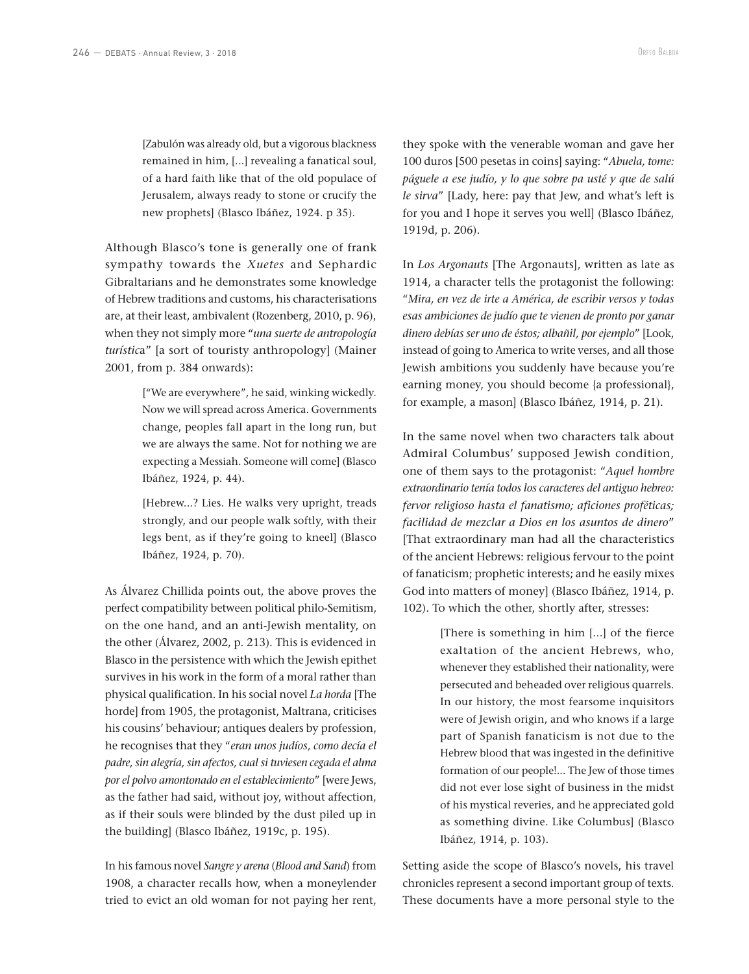[Zabulón was already old, but a vigorous blackness remained in him, [...] revealing a fanatical soul, of a hard faith like that of the old populace of Jerusalem, always ready to stone or crucify the new prophets] (Blasco Ibáñez, 1924. p 35).

Although Blasco's tone is generally one of frank sympathy towards the *Xuetes* and Sephardic Gibraltarians and he demonstrates some knowledge of Hebrew traditions and customs, his characterisations are, at their least, ambivalent (Rozenberg, 2010, p. 96), when they not simply more "*una suerte de antropología turístic*a" [a sort of touristy anthropology] (Mainer 2001, from p. 384 onwards):

> ["We are everywhere", he said, winking wickedly. Now we will spread across America. Governments change, peoples fall apart in the long run, but we are always the same. Not for nothing we are expecting a Messiah. Someone will come] (Blasco Ibáñez, 1924, p. 44).

> [Hebrew...? Lies. He walks very upright, treads strongly, and our people walk softly, with their legs bent, as if they're going to kneel] (Blasco Ibáñez, 1924, p. 70).

As Álvarez Chillida points out, the above proves the perfect compatibility between political philo-Semitism, on the one hand, and an anti-Jewish mentality, on the other (Álvarez, 2002, p. 213). This is evidenced in Blasco in the persistence with which the Jewish epithet survives in his work in the form of a moral rather than physical qualification. In his social novel *La horda* [The horde] from 1905, the protagonist, Maltrana, criticises his cousins' behaviour; antiques dealers by profession, he recognises that they "*eran unos judíos, como decía el padre, sin alegría, sin afectos, cual si tuviesen cegada el alma por el polvo amontonado en el establecimiento*" [were Jews, as the father had said, without joy, without affection, as if their souls were blinded by the dust piled up in the building] (Blasco Ibáñez, 1919c, p. 195).

In his famous novel *Sangre y arena* (*Blood and Sand*) from 1908, a character recalls how, when a moneylender tried to evict an old woman for not paying her rent,

they spoke with the venerable woman and gave her 100 duros [500 pesetas in coins] saying: "*Abuela, tome: páguele a ese judío, y lo que sobre pa usté y que de salú le sirva*" [Lady, here: pay that Jew, and what's left is for you and I hope it serves you well] (Blasco Ibáñez, 1919d, p. 206).

In *Los Argonauts* [The Argonauts], written as late as 1914, a character tells the protagonist the following: "*Mira, en vez de irte a América, de escribir versos y todas esas ambiciones de judío que te vienen de pronto por ganar dinero debías ser uno de éstos; albañil, por ejemplo*" [Look, instead of going to America to write verses, and all those Jewish ambitions you suddenly have because you're earning money, you should become {a professional}, for example, a mason] (Blasco Ibáñez, 1914, p. 21).

In the same novel when two characters talk about Admiral Columbus' supposed Jewish condition, one of them says to the protagonist: "*Aquel hombre extraordinario tenía todos los caracteres del antiguo hebreo: fervor religioso hasta el fanatismo; aficiones proféticas; facilidad de mezclar a Dios en los asuntos de dinero*" [That extraordinary man had all the characteristics of the ancient Hebrews: religious fervour to the point of fanaticism; prophetic interests; and he easily mixes God into matters of money] (Blasco Ibáñez, 1914, p. 102). To which the other, shortly after, stresses:

> [There is something in him [...] of the fierce exaltation of the ancient Hebrews, who, whenever they established their nationality, were persecuted and beheaded over religious quarrels. In our history, the most fearsome inquisitors were of Jewish origin, and who knows if a large part of Spanish fanaticism is not due to the Hebrew blood that was ingested in the definitive formation of our people!... The Jew of those times did not ever lose sight of business in the midst of his mystical reveries, and he appreciated gold as something divine. Like Columbus] (Blasco Ibáñez, 1914, p. 103).

Setting aside the scope of Blasco's novels, his travel chronicles represent a second important group of texts. These documents have a more personal style to the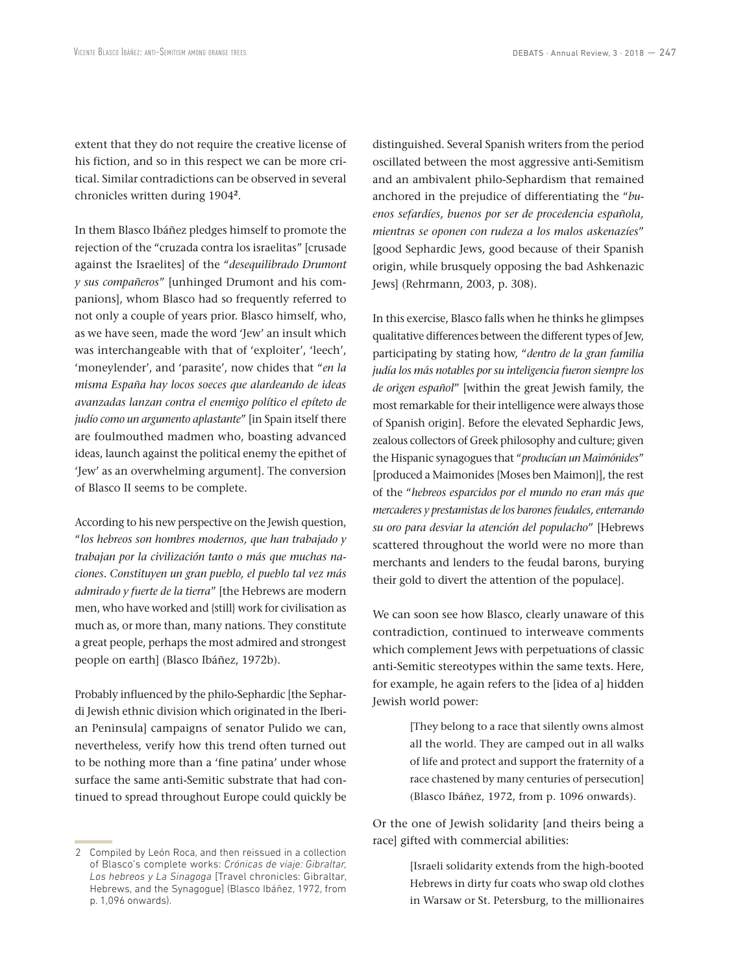extent that they do not require the creative license of his fiction, and so in this respect we can be more critical. Similar contradictions can be observed in several chronicles written during 1904**<sup>2</sup>**.

In them Blasco Ibáñez pledges himself to promote the rejection of the "cruzada contra los israelitas" [crusade against the Israelites] of the "*desequilibrado Drumont y sus compañeros*" [unhinged Drumont and his companions], whom Blasco had so frequently referred to not only a couple of years prior. Blasco himself, who, as we have seen, made the word 'Jew' an insult which was interchangeable with that of 'exploiter', 'leech', 'moneylender', and 'parasite', now chides that "*en la misma España hay locos soeces que alardeando de ideas avanzadas lanzan contra el enemigo político el epíteto de judío como un argumento aplastante*" [in Spain itself there are foulmouthed madmen who, boasting advanced ideas, launch against the political enemy the epithet of 'Jew' as an overwhelming argument]. The conversion of Blasco II seems to be complete.

According to his new perspective on the Jewish question, "*los hebreos son hombres modernos, que han trabajado y trabajan por la civilización tanto o más que muchas naciones. Constituyen un gran pueblo, el pueblo tal vez más admirado y fuerte de la tierra*" [the Hebrews are modern men, who have worked and {still} work for civilisation as much as, or more than, many nations. They constitute a great people, perhaps the most admired and strongest people on earth] (Blasco Ibáñez, 1972b).

Probably influenced by the philo-Sephardic [the Sephardi Jewish ethnic division which originated in the Iberian Peninsula] campaigns of senator Pulido we can, nevertheless, verify how this trend often turned out to be nothing more than a 'fine patina' under whose surface the same anti-Semitic substrate that had continued to spread throughout Europe could quickly be

distinguished. Several Spanish writers from the period oscillated between the most aggressive anti-Semitism and an ambivalent philo-Sephardism that remained anchored in the prejudice of differentiating the "*buenos sefardíes, buenos por ser de procedencia española, mientras se oponen con rudeza a los malos askenazíes*" [good Sephardic Jews, good because of their Spanish origin, while brusquely opposing the bad Ashkenazic Jews] (Rehrmann, 2003, p. 308).

In this exercise, Blasco falls when he thinks he glimpses qualitative differences between the different types of Jew, participating by stating how, "*dentro de la gran familia judía los más notables por su inteligencia fueron siempre los de origen español*" [within the great Jewish family, the most remarkable for their intelligence were always those of Spanish origin]. Before the elevated Sephardic Jews, zealous collectors of Greek philosophy and culture; given the Hispanic synagogues that "*producían un Maimónides*" [produced a Maimonides {Moses ben Maimon}], the rest of the "*hebreos esparcidos por el mundo no eran más que mercaderes y prestamistas de los barones feudales, enterrando su oro para desviar la atención del populacho*" [Hebrews scattered throughout the world were no more than merchants and lenders to the feudal barons, burying their gold to divert the attention of the populace].

We can soon see how Blasco, clearly unaware of this contradiction, continued to interweave comments which complement Jews with perpetuations of classic anti-Semitic stereotypes within the same texts. Here, for example, he again refers to the [idea of a] hidden Jewish world power:

> [They belong to a race that silently owns almost all the world. They are camped out in all walks of life and protect and support the fraternity of a race chastened by many centuries of persecution] (Blasco Ibáñez, 1972, from p. 1096 onwards).

Or the one of Jewish solidarity [and theirs being a race] gifted with commercial abilities:

> [Israeli solidarity extends from the high-booted Hebrews in dirty fur coats who swap old clothes in Warsaw or St. Petersburg, to the millionaires

<sup>2</sup> Compiled by León Roca, and then reissued in a collection of Blasco's complete works: *Crónicas de viaje: Gibraltar, Los hebreos y La Sinagoga* [Travel chronicles: Gibraltar, Hebrews, and the Synagogue] (Blasco Ibáñez, 1972, from p. 1,096 onwards).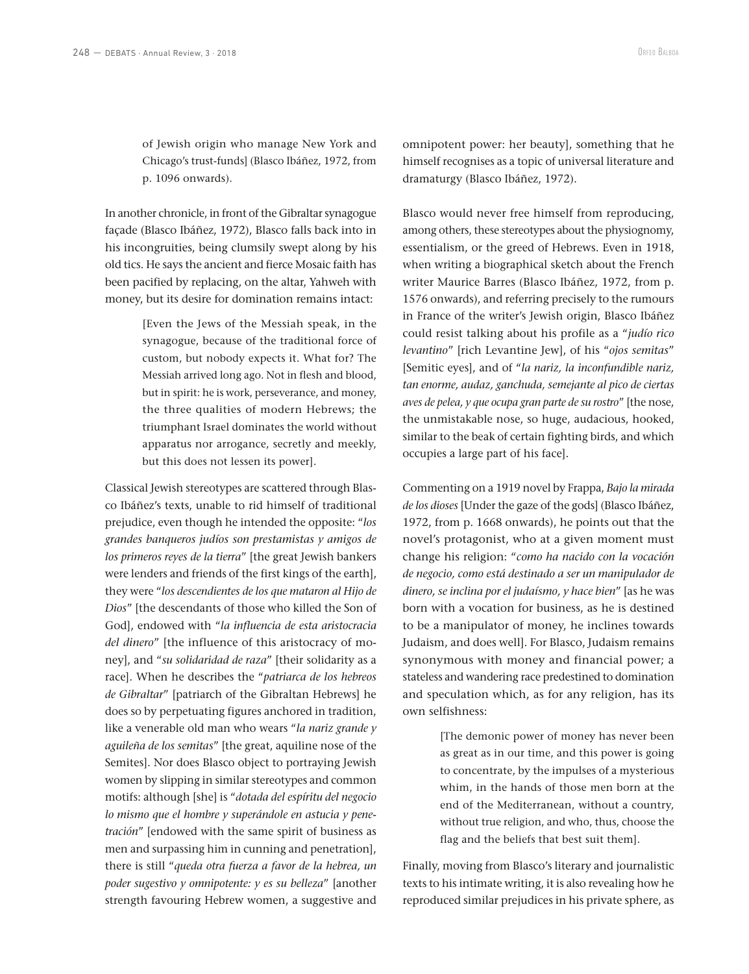of Jewish origin who manage New York and Chicago's trust-funds] (Blasco Ibáñez, 1972, from p. 1096 onwards).

In another chronicle, in front of the Gibraltar synagogue façade (Blasco Ibáñez, 1972), Blasco falls back into in his incongruities, being clumsily swept along by his old tics. He says the ancient and fierce Mosaic faith has been pacified by replacing, on the altar, Yahweh with money, but its desire for domination remains intact:

> [Even the Jews of the Messiah speak, in the synagogue, because of the traditional force of custom, but nobody expects it. What for? The Messiah arrived long ago. Not in flesh and blood, but in spirit: he is work, perseverance, and money, the three qualities of modern Hebrews; the triumphant Israel dominates the world without apparatus nor arrogance, secretly and meekly, but this does not lessen its power].

Classical Jewish stereotypes are scattered through Blasco Ibáñez's texts, unable to rid himself of traditional prejudice, even though he intended the opposite: "*los grandes banqueros judíos son prestamistas y amigos de los primeros reyes de la tierra*" [the great Jewish bankers were lenders and friends of the first kings of the earth], they were "*los descendientes de los que mataron al Hijo de Dios*" [the descendants of those who killed the Son of God], endowed with "*la influencia de esta aristocracia del dinero*" [the influence of this aristocracy of money], and "*su solidaridad de raza*" [their solidarity as a race]. When he describes the "*patriarca de los hebreos de Gibraltar*" [patriarch of the Gibraltan Hebrews] he does so by perpetuating figures anchored in tradition, like a venerable old man who wears "*la nariz grande y aguileña de los semitas*" [the great, aquiline nose of the Semites]. Nor does Blasco object to portraying Jewish women by slipping in similar stereotypes and common motifs: although [she] is "*dotada del espíritu del negocio lo mismo que el hombre y superándole en astucia y penetración*" [endowed with the same spirit of business as men and surpassing him in cunning and penetration], there is still "*queda otra fuerza a favor de la hebrea, un poder sugestivo y omnipotente: y es su belleza*" [another strength favouring Hebrew women, a suggestive and

omnipotent power: her beauty], something that he himself recognises as a topic of universal literature and dramaturgy (Blasco Ibáñez, 1972).

Blasco would never free himself from reproducing, among others, these stereotypes about the physiognomy, essentialism, or the greed of Hebrews. Even in 1918, when writing a biographical sketch about the French writer Maurice Barres (Blasco Ibáñez, 1972, from p. 1576 onwards), and referring precisely to the rumours in France of the writer's Jewish origin, Blasco Ibáñez could resist talking about his profile as a "*judío rico levantino*" [rich Levantine Jew], of his "*ojos semitas*" [Semitic eyes], and of "*la nariz, la inconfundible nariz, tan enorme, audaz, ganchuda, semejante al pico de ciertas aves de pelea, y que ocupa gran parte de su rostro*" [the nose, the unmistakable nose, so huge, audacious, hooked, similar to the beak of certain fighting birds, and which occupies a large part of his face].

Commenting on a 1919 novel by Frappa, *Bajo la mirada de los dioses* [Under the gaze of the gods] (Blasco Ibáñez, 1972, from p. 1668 onwards), he points out that the novel's protagonist, who at a given moment must change his religion: "*como ha nacido con la vocación de negocio, como está destinado a ser un manipulador de dinero, se inclina por el judaísmo, y hace bien*" [as he was born with a vocation for business, as he is destined to be a manipulator of money, he inclines towards Judaism, and does well]. For Blasco, Judaism remains synonymous with money and financial power; a stateless and wandering race predestined to domination and speculation which, as for any religion, has its own selfishness:

> [The demonic power of money has never been as great as in our time, and this power is going to concentrate, by the impulses of a mysterious whim, in the hands of those men born at the end of the Mediterranean, without a country, without true religion, and who, thus, choose the flag and the beliefs that best suit them].

Finally, moving from Blasco's literary and journalistic texts to his intimate writing, it is also revealing how he reproduced similar prejudices in his private sphere, as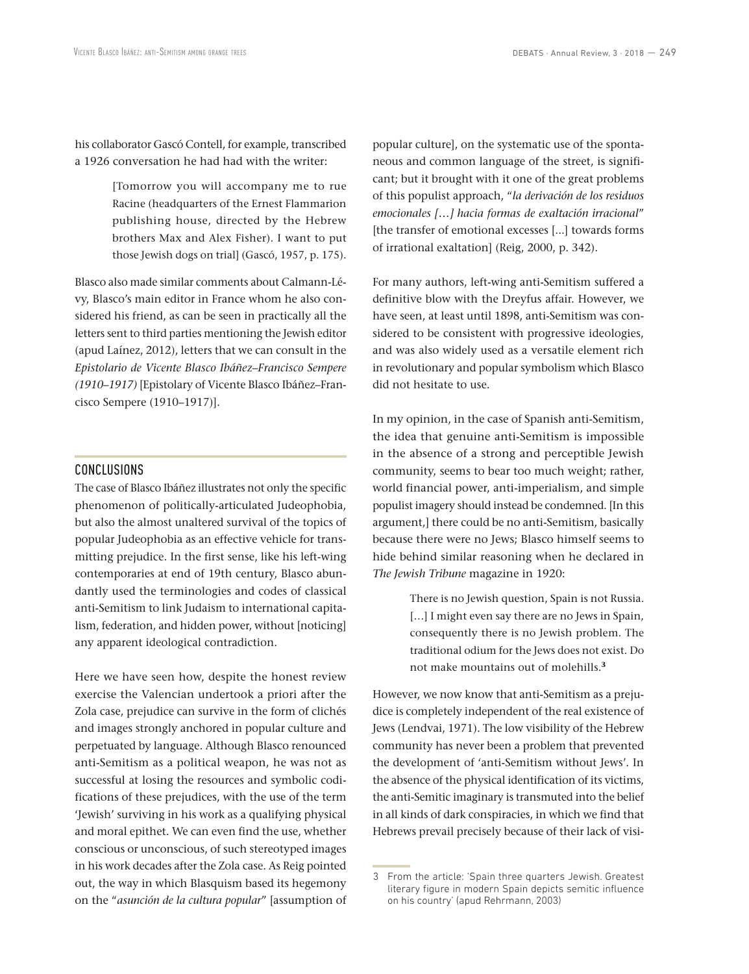his collaborator Gascó Contell, for example, transcribed a 1926 conversation he had had with the writer:

> [Tomorrow you will accompany me to rue Racine (headquarters of the Ernest Flammarion publishing house, directed by the Hebrew brothers Max and Alex Fisher). I want to put those Jewish dogs on trial] (Gascó, 1957, p. 175).

Blasco also made similar comments about Calmann-Lévy, Blasco's main editor in France whom he also considered his friend, as can be seen in practically all the letters sent to third parties mentioning the Jewish editor (apud Laínez, 2012), letters that we can consult in the *Epistolario de Vicente Blasco Ibáñez–Francisco Sempere (1910–1917)* [Epistolary of Vicente Blasco Ibáñez–Francisco Sempere (1910–1917)].

#### CONCLUSIONS

The case of Blasco Ibáñez illustrates not only the specific phenomenon of politically-articulated Judeophobia, but also the almost unaltered survival of the topics of popular Judeophobia as an effective vehicle for transmitting prejudice. In the first sense, like his left-wing contemporaries at end of 19th century, Blasco abundantly used the terminologies and codes of classical anti-Semitism to link Judaism to international capitalism, federation, and hidden power, without [noticing] any apparent ideological contradiction.

Here we have seen how, despite the honest review exercise the Valencian undertook a priori after the Zola case, prejudice can survive in the form of clichés and images strongly anchored in popular culture and perpetuated by language. Although Blasco renounced anti-Semitism as a political weapon, he was not as successful at losing the resources and symbolic codifications of these prejudices, with the use of the term 'Jewish' surviving in his work as a qualifying physical and moral epithet. We can even find the use, whether conscious or unconscious, of such stereotyped images in his work decades after the Zola case. As Reig pointed out, the way in which Blasquism based its hegemony on the "*asunción de la cultura popular*" [assumption of popular culture], on the systematic use of the spontaneous and common language of the street, is significant; but it brought with it one of the great problems of this populist approach, "*la derivación de los residuos emocionales […] hacia formas de exaltación irracional*" [the transfer of emotional excesses [...] towards forms of irrational exaltation] (Reig, 2000, p. 342).

For many authors, left-wing anti-Semitism suffered a definitive blow with the Dreyfus affair. However, we have seen, at least until 1898, anti-Semitism was considered to be consistent with progressive ideologies, and was also widely used as a versatile element rich in revolutionary and popular symbolism which Blasco did not hesitate to use.

In my opinion, in the case of Spanish anti-Semitism, the idea that genuine anti-Semitism is impossible in the absence of a strong and perceptible Jewish community, seems to bear too much weight; rather, world financial power, anti-imperialism, and simple populist imagery should instead be condemned. [In this argument,] there could be no anti-Semitism, basically because there were no Jews; Blasco himself seems to hide behind similar reasoning when he declared in *The Jewish Tribune* magazine in 1920:

> There is no Jewish question, Spain is not Russia. [...] I might even say there are no Jews in Spain, consequently there is no Jewish problem. The traditional odium for the Jews does not exist. Do not make mountains out of molehills.**<sup>3</sup>**

However, we now know that anti-Semitism as a prejudice is completely independent of the real existence of Jews (Lendvai, 1971). The low visibility of the Hebrew community has never been a problem that prevented the development of 'anti-Semitism without Jews'. In the absence of the physical identification of its victims, the anti-Semitic imaginary is transmuted into the belief in all kinds of dark conspiracies, in which we find that Hebrews prevail precisely because of their lack of visi-

<sup>3</sup> From the article: 'Spain three quarters Jewish. Greatest literary figure in modern Spain depicts semitic influence on his country' (apud Rehrmann, 2003)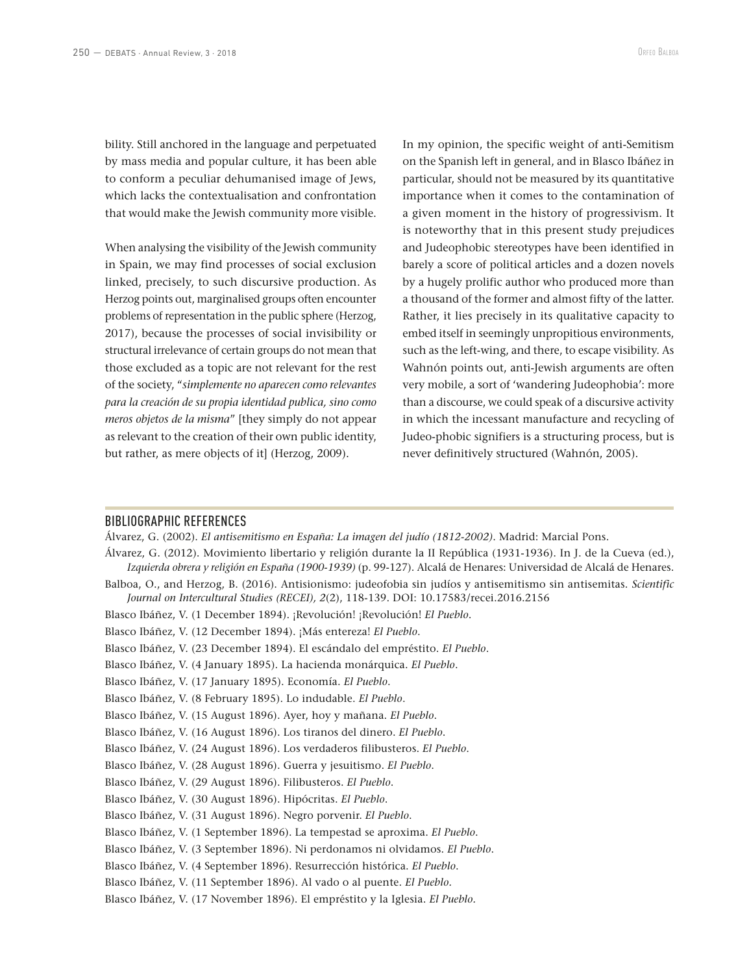bility. Still anchored in the language and perpetuated by mass media and popular culture, it has been able to conform a peculiar dehumanised image of Jews, which lacks the contextualisation and confrontation that would make the Jewish community more visible.

When analysing the visibility of the Jewish community in Spain, we may find processes of social exclusion linked, precisely, to such discursive production. As Herzog points out, marginalised groups often encounter problems of representation in the public sphere (Herzog, 2017), because the processes of social invisibility or structural irrelevance of certain groups do not mean that those excluded as a topic are not relevant for the rest of the society, "*simplemente no aparecen como relevantes para la creación de su propia identidad publica, sino como meros objetos de la misma*" [they simply do not appear as relevant to the creation of their own public identity, but rather, as mere objects of it] (Herzog, 2009).

In my opinion, the specific weight of anti-Semitism on the Spanish left in general, and in Blasco Ibáñez in particular, should not be measured by its quantitative importance when it comes to the contamination of a given moment in the history of progressivism. It is noteworthy that in this present study prejudices and Judeophobic stereotypes have been identified in barely a score of political articles and a dozen novels by a hugely prolific author who produced more than a thousand of the former and almost fifty of the latter. Rather, it lies precisely in its qualitative capacity to embed itself in seemingly unpropitious environments, such as the left-wing, and there, to escape visibility. As Wahnón points out, anti-Jewish arguments are often very mobile, a sort of 'wandering Judeophobia': more than a discourse, we could speak of a discursive activity in which the incessant manufacture and recycling of Judeo-phobic signifiers is a structuring process, but is never definitively structured (Wahnón, 2005).

#### BIBLIOGRAPHIC REFERENCES

Álvarez, G. (2002). *El antisemitismo en España: La imagen del judío (1812-2002)*. Madrid: Marcial Pons.

Álvarez, G. (2012). Movimiento libertario y religión durante la II República (1931-1936). In J. de la Cueva (ed.), *Izquierda obrera y religión en España (1900-1939)* (p. 99-127). Alcalá de Henares: Universidad de Alcalá de Henares.

- Balboa, O., and Herzog, B. (2016). Antisionismo: judeofobia sin judíos y antisemitismo sin antisemitas. *Scientific Journal on Intercultural Studies (RECEI), 2*(2), 118-139. DOI: 10.17583/recei.2016.2156
- Blasco Ibáñez, V. (1 December 1894). ¡Revolución! ¡Revolución! *El Pueblo*.

Blasco Ibáñez, V. (12 December 1894). ¡Más entereza! *El Pueblo*.

- Blasco Ibáñez, V. (23 December 1894). El escándalo del empréstito. *El Pueblo*.
- Blasco Ibáñez, V. (4 January 1895). La hacienda monárquica. *El Pueblo*.
- Blasco Ibáñez, V. (17 January 1895). Economía. *El Pueblo*.
- Blasco Ibáñez, V. (8 February 1895). Lo indudable. *El Pueblo*.
- Blasco Ibáñez, V. (15 August 1896). Ayer, hoy y mañana. *El Pueblo*.
- Blasco Ibáñez, V. (16 August 1896). Los tiranos del dinero. *El Pueblo*.
- Blasco Ibáñez, V. (24 August 1896). Los verdaderos filibusteros. *El Pueblo*.
- Blasco Ibáñez, V. (28 August 1896). Guerra y jesuitismo. *El Pueblo*.
- Blasco Ibáñez, V. (29 August 1896). Filibusteros. *El Pueblo*.
- Blasco Ibáñez, V. (30 August 1896). Hipócritas. *El Pueblo*.
- Blasco Ibáñez, V. (31 August 1896). Negro porvenir. *El Pueblo*.
- Blasco Ibáñez, V. (1 September 1896). La tempestad se aproxima. *El Pueblo*.
- Blasco Ibáñez, V. (3 September 1896). Ni perdonamos ni olvidamos. *El Pueblo*.
- Blasco Ibáñez, V. (4 September 1896). Resurrección histórica. *El Pueblo*.
- Blasco Ibáñez, V. (11 September 1896). Al vado o al puente. *El Pueblo.*
- Blasco Ibáñez, V. (17 November 1896). El empréstito y la Iglesia. *El Pueblo.*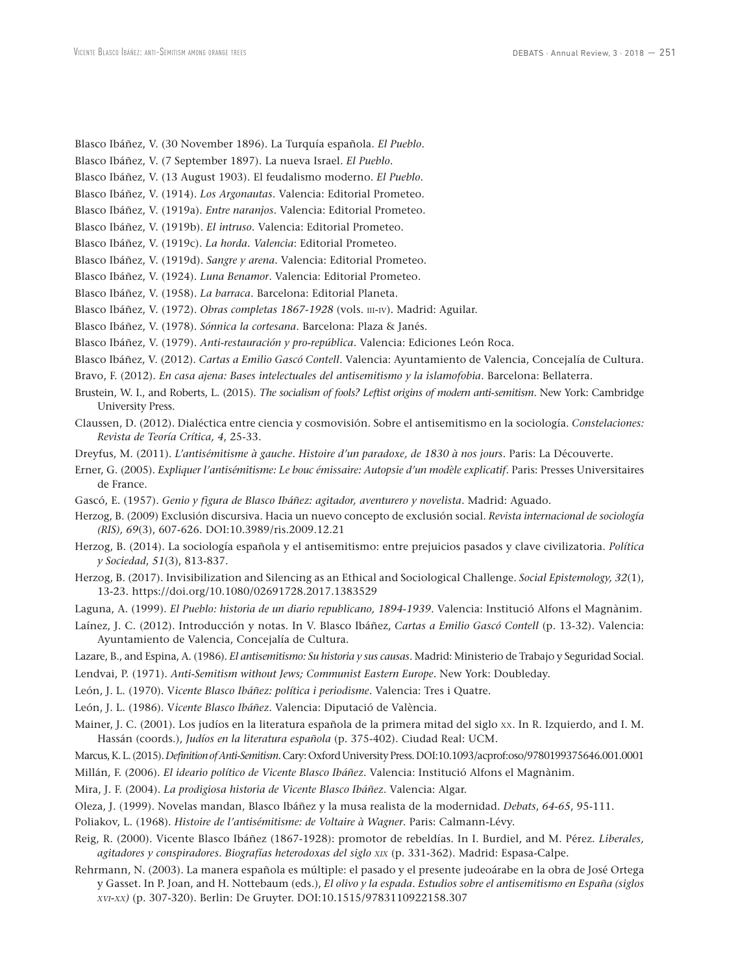- Blasco Ibáñez, V. (30 November 1896). La Turquía española. *El Pueblo*.
- Blasco Ibáñez, V. (7 September 1897). La nueva Israel. *El Pueblo*.
- Blasco Ibáñez, V. (13 August 1903). El feudalismo moderno. *El Pueblo*.
- Blasco Ibáñez, V. (1914). *Los Argonautas*. Valencia: Editorial Prometeo.
- Blasco Ibáñez, V. (1919a). *Entre naranjos*. Valencia: Editorial Prometeo.
- Blasco Ibáñez, V. (1919b). *El intruso*. Valencia: Editorial Prometeo.
- Blasco Ibáñez, V. (1919c). *La horda. Valencia*: Editorial Prometeo.
- Blasco Ibáñez, V. (1919d). *Sangre y arena*. Valencia: Editorial Prometeo.
- Blasco Ibáñez, V. (1924). *Luna Benamor*. Valencia: Editorial Prometeo.
- Blasco Ibáñez, V. (1958). *La barraca*. Barcelona: Editorial Planeta.
- Blasco Ibáñez, V. (1972). *Obras completas 1867-1928* (vols. III-IV). Madrid: Aguilar.
- Blasco Ibáñez, V. (1978). *Sónnica la cortesana*. Barcelona: Plaza & Janés.
- Blasco Ibáñez, V. (1979). *Anti-restauración y pro-república*. Valencia: Ediciones León Roca.
- Blasco Ibáñez, V. (2012). *Cartas a Emilio Gascó Contell*. Valencia: Ayuntamiento de Valencia, Concejalía de Cultura.
- Bravo, F. (2012). *En casa ajena: Bases intelectuales del antisemitismo y la islamofobia*. Barcelona: Bellaterra.
- Brustein, W. I., and Roberts, L. (2015). *The socialism of fools? Leftist origins of modern anti-semitism*. New York: Cambridge University Press.
- Claussen, D. (2012). Dialéctica entre ciencia y cosmovisión. Sobre el antisemitismo en la sociología. *Constelaciones: Revista de Teoría Crítica, 4*, 25-33.
- Dreyfus, M. (2011). *L'antisémitisme à gauche. Histoire d'un paradoxe, de 1830 à nos jours*. Paris: La Découverte.
- Erner, G. (2005). *Expliquer l'antisémitisme: Le bouc émissaire: Autopsie d'un modèle explicatif*. Paris: Presses Universitaires de France.
- Gascó, E. (1957). *Genio y figura de Blasco Ibáñez: agitador, aventurero y novelista*. Madrid: Aguado.
- Herzog, B. (2009) Exclusión discursiva. Hacia un nuevo concepto de exclusión social. *Revista internacional de sociología (RIS), 69*(3), 607-626. DOI:10.3989/ris.2009.12.21
- Herzog, B. (2014). La sociología española y el antisemitismo: entre prejuicios pasados y clave civilizatoria. *Política y Sociedad*, *51*(3), 813-837.
- Herzog, B. (2017). Invisibilization and Silencing as an Ethical and Sociological Challenge. *Social Epistemology, 32*(1), 13-23. https://doi.org/10.1080/02691728.2017.1383529
- Laguna, A. (1999). *El Pueblo: historia de un diario republicano, 1894-1939*. Valencia: Institució Alfons el Magnànim.
- Laínez, J. C. (2012). Introducción y notas. In V. Blasco Ibáñez, *Cartas a Emilio Gascó Contell* (p. 13-32). Valencia: Ayuntamiento de Valencia, Concejalía de Cultura.
- Lazare, B., and Espina, A. (1986). *El antisemitismo: Su historia y sus causas*. Madrid: Ministerio de Trabajo y Seguridad Social.
- Lendvai, P. (1971). *Anti-Semitism without Jews; Communist Eastern Europe*. New York: Doubleday.
- León, J. L. (1970). V*icente Blasco Ibáñez: política i periodisme*. Valencia: Tres i Quatre.
- León, J. L. (1986). V*icente Blasco Ibáñez*. Valencia: Diputació de València.
- Mainer, J. C. (2001). Los judíos en la literatura española de la primera mitad del siglo xx. In R. Izquierdo, and I. M. Hassán (coords.), *Judíos en la literatura española* (p. 375-402). Ciudad Real: UCM.
- Marcus, K. L. (2015). *Definition of Anti-Semitism*. Cary: Oxford University Press. DOI:10.1093/acprof:oso/9780199375646.001.0001
- Millán, F. (2006). *El ideario político de Vicente Blasco Ibáñez*. Valencia: Institució Alfons el Magnànim.
- Mira, J. F. (2004). *La prodigiosa historia de Vicente Blasco Ibáñez*. Valencia: Algar.
- Oleza, J. (1999). Novelas mandan, Blasco Ibáñez y la musa realista de la modernidad. *Debats*, *64-65*, 95-111.
- Poliakov, L. (1968). *Histoire de l'antisémitisme: de Voltaire à Wagner*. Paris: Calmann-Lévy.
- Reig, R. (2000). Vicente Blasco Ibáñez (1867-1928): promotor de rebeldías. In I. Burdiel, and M. Pérez. *Liberales, agitadores y conspiradores. Biografías heterodoxas del siglo xix* (p. 331-362). Madrid: Espasa-Calpe.
- Rehrmann, N. (2003). La manera española es múltiple: el pasado y el presente judeoárabe en la obra de José Ortega y Gasset. In P. Joan, and H. Nottebaum (eds.), *El olivo y la espada. Estudios sobre el antisemitismo en España (siglos xvi-xx)* (p. 307-320). Berlin: De Gruyter. DOI:10.1515/9783110922158.307